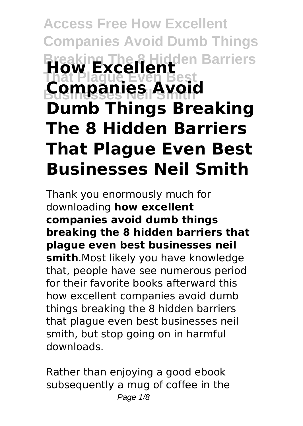# **Access Free How Excellent Companies Avoid Dumb Things Breaking The 8 Hidden Barriers How Excellent That Plague Even Best Businesses Neil Smith Companies Avoid Dumb Things Breaking The 8 Hidden Barriers That Plague Even Best Businesses Neil Smith**

Thank you enormously much for downloading **how excellent companies avoid dumb things breaking the 8 hidden barriers that plague even best businesses neil smith**.Most likely you have knowledge that, people have see numerous period for their favorite books afterward this how excellent companies avoid dumb things breaking the 8 hidden barriers that plague even best businesses neil smith, but stop going on in harmful downloads.

Rather than enjoying a good ebook subsequently a mug of coffee in the Page  $1/8$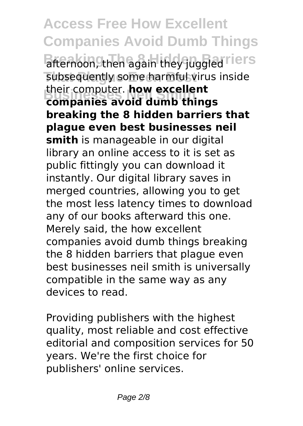**Access Free How Excellent Companies Avoid Dumb Things** afternoon, then again they juggled lers subsequently some harmful virus inside **Businesses Neil Smith companies avoid dumb things** their computer. **how excellent breaking the 8 hidden barriers that plague even best businesses neil smith** is manageable in our digital library an online access to it is set as public fittingly you can download it instantly. Our digital library saves in merged countries, allowing you to get the most less latency times to download any of our books afterward this one. Merely said, the how excellent companies avoid dumb things breaking the 8 hidden barriers that plague even best businesses neil smith is universally compatible in the same way as any devices to read.

Providing publishers with the highest quality, most reliable and cost effective editorial and composition services for 50 years. We're the first choice for publishers' online services.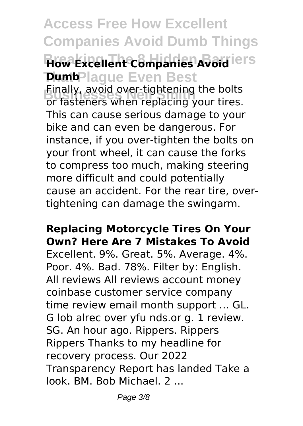## **Access Free How Excellent Companies Avoid Dumb Things How Excellent Companies Avoid lers Dumb**Plague Even Best

**Businesses Neil Smith** or fasteners when replacing your tires. Finally, avoid over-tightening the bolts This can cause serious damage to your bike and can even be dangerous. For instance, if you over-tighten the bolts on your front wheel, it can cause the forks to compress too much, making steering more difficult and could potentially cause an accident. For the rear tire, overtightening can damage the swingarm.

#### **Replacing Motorcycle Tires On Your Own? Here Are 7 Mistakes To Avoid**

Excellent. 9%. Great. 5%. Average. 4%. Poor. 4%. Bad. 78%. Filter by: English. All reviews All reviews account money coinbase customer service company time review email month support … GL. G lob alrec over yfu nds.or g. 1 review. SG. An hour ago. Rippers. Rippers Rippers Thanks to my headline for recovery process. Our 2022 Transparency Report has landed Take a look. BM. Bob Michael. 2 ...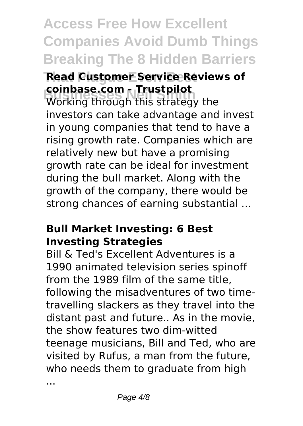# **Access Free How Excellent Companies Avoid Dumb Things Breaking The 8 Hidden Barriers**

#### **Read Customer Service Reviews of coinbase.com - Trustpilot**

**Businesse.com - Trustpliot**<br>Working through this strategy the investors can take advantage and invest in young companies that tend to have a rising growth rate. Companies which are relatively new but have a promising growth rate can be ideal for investment during the bull market. Along with the growth of the company, there would be strong chances of earning substantial ...

#### **Bull Market Investing: 6 Best Investing Strategies**

Bill & Ted's Excellent Adventures is a 1990 animated television series spinoff from the 1989 film of the same title, following the misadventures of two timetravelling slackers as they travel into the distant past and future.. As in the movie, the show features two dim-witted teenage musicians, Bill and Ted, who are visited by Rufus, a man from the future, who needs them to graduate from high

...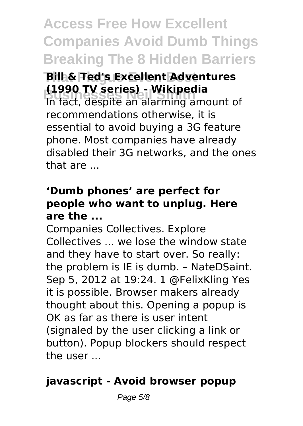**Access Free How Excellent Companies Avoid Dumb Things Breaking The 8 Hidden Barriers**

#### **That Plague Even Best Bill & Ted's Excellent Adventures (1990 TV series) - Wikipedia**

**Business Articles**<br>The fact, despite an alarming amount of recommendations otherwise, it is essential to avoid buying a 3G feature phone. Most companies have already disabled their 3G networks, and the ones that are ...

### **'Dumb phones' are perfect for people who want to unplug. Here are the ...**

Companies Collectives. Explore Collectives ... we lose the window state and they have to start over. So really: the problem is IE is dumb. – NateDSaint. Sep 5, 2012 at 19:24. 1 @FelixKling Yes it is possible. Browser makers already thought about this. Opening a popup is OK as far as there is user intent (signaled by the user clicking a link or button). Popup blockers should respect the user ...

### **javascript - Avoid browser popup**

Page 5/8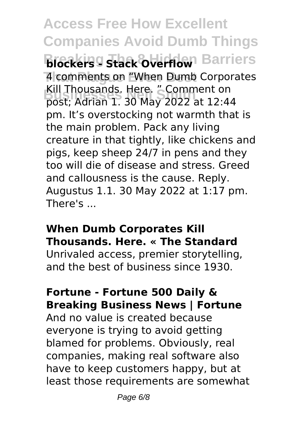**Access Free How Excellent Companies Avoid Dumb Things Blockers - Stack Overflow** Barriers **That Plague Even Best** 4 comments on "When Dumb Corporates **Businesses Neil Smith** post; Adrian 1. 30 May 2022 at 12:44 Kill Thousands. Here. " Comment on pm. It's overstocking not warmth that is the main problem. Pack any living creature in that tightly, like chickens and pigs, keep sheep 24/7 in pens and they too will die of disease and stress. Greed and callousness is the cause. Reply. Augustus 1.1. 30 May 2022 at 1:17 pm. There's ...

#### **When Dumb Corporates Kill Thousands. Here. « The Standard**

Unrivaled access, premier storytelling, and the best of business since 1930.

#### **Fortune - Fortune 500 Daily & Breaking Business News | Fortune**

And no value is created because everyone is trying to avoid getting blamed for problems. Obviously, real companies, making real software also have to keep customers happy, but at least those requirements are somewhat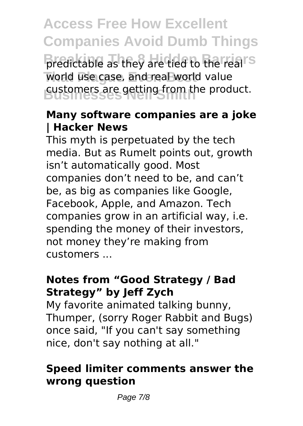**Access Free How Excellent Companies Avoid Dumb Things** predictable as they are tied to the real<sup>TS</sup> world use case, and real world value customers are getting from the product.

### **Many software companies are a joke | Hacker News**

This myth is perpetuated by the tech media. But as Rumelt points out, growth isn't automatically good. Most companies don't need to be, and can't be, as big as companies like Google, Facebook, Apple, and Amazon. Tech companies grow in an artificial way, i.e. spending the money of their investors, not money they're making from customers ...

### **Notes from "Good Strategy / Bad Strategy" by Jeff Zych**

My favorite animated talking bunny, Thumper, (sorry Roger Rabbit and Bugs) once said, "If you can't say something nice, don't say nothing at all."

#### **Speed limiter comments answer the wrong question**

Page 7/8